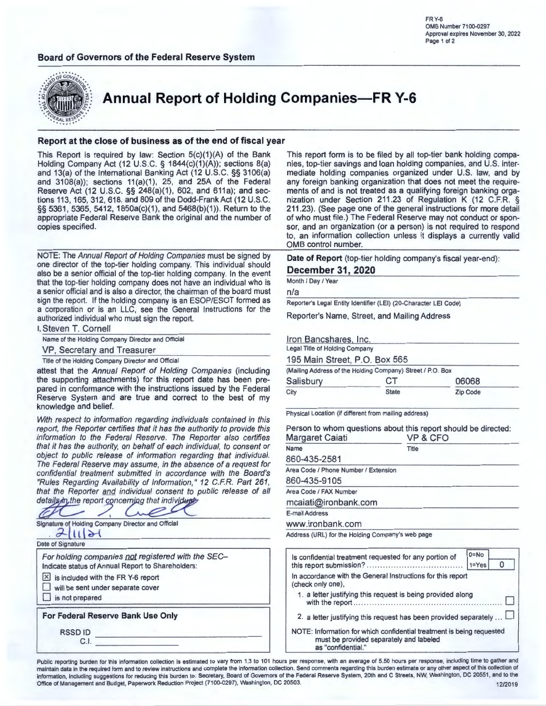#### **Board of Governors of the Federal Reserve System**

FR Y-6 0MB Number 7100-0297 Approval expires November 30, 2022 Page 1 of 2



**Annual Report of Holding Companies-FR Y-6** 

#### **Report at the close of business as of the end of fiscal year**

This Report is required by law: Section  $5(c)(1)(A)$  of the Bank Holding Company Act (12 U.S.C. § 1844(c)(1)(A)); sections 8(a) and 13(a) of the International Banking Act (12 U.S.C. §§ 3106(a) and 3108(a)); sections 11(a)(1), 25, and 25A of the Federal Reserve Act (12 U.S.C. §§ 248(a)(1), 602, and 611a); and sections 113, 165,312,618, and 809 of the Dodd-Frank Act (12 U.S.C. §§ 5361, 5365, 5412, 1850a(c)(1), and 5468(b)(1)). Return to the appropriate Federal Reserve Bank the original and the number of copies specified.

NOTE: The Annual Report of Holding Companies must be signed by one director of the top-tier holding company. This individual should also be a senior official of the top-tier holding company. In the event that the top-tier holding company does not have an individual who is a senior official and is also a director, the chairman of the board must sign the report. If the holding company is an ESOP/ESOT formed as a corporation or is an LLC, see the General Instructions for the authorized individual who must sign the report.

|  | I, Steven T. Cornell |  |
|--|----------------------|--|
|  |                      |  |

|  | Name of the Holding Company Director and Official |  |  |
|--|---------------------------------------------------|--|--|
|  |                                                   |  |  |

VP, Secretary and Treasurer

Title of the Holding Company Director and Official

attest that the Annual Report of Holding Companies (including the supporting attachments) for this report date has been prepared in conformance with the instructions issued by the Federal Reserve System and are true and correct to the best of my knowledge and belief.

With respect to information regarding individuals contained in this report, the Reporter certifies that it has the authority to provide this information to the Federal Reserve. The Reporter also certifies that it has the authority, on behalf of each individual, to consent or object to public release of information regarding that individual. The Federal Reserve may assume, in the absence of a request for confidential treatment submitted in accordance with the Board's "Rules Regarding Availability of Information," 12 C.FR. Part 261, that the Reporter and individual consent to public release of all details in the report concerning that individual

Signature of Holding Company Director and Official

 $2$  $||||$ 

Date of Signature

For holding companies not registered with the SEC-Indicate status of Annual Report to Shareholders:  $X$  is included with the FR Y-6 report will be sent under separate cover  $\Box$  is not prepared **For Federal Reserve Bank Use Only**  RSSD ID C.I.

This report form is to be filed by all top-tier bank holding companies, top-tier savings and loan holding companies, and U.S. intermediate holding companies organized under U.S. law, and by any foreign banking organization that does not meet the requirements of and is not treated as a qualifying foreign banking organization under Section 211.23 of Regulation K (12 C.F.R. § 211 .23). (See page one of the general instructions for more detail of who must file.) The Federal Reserve may not conduct or sponsor, and an organization (or a person) is not required to respond to, an information collection unless it displays a currently valid 0MB control number.

**Date of Report** (top-tier holding company's fiscal year-end):

#### **December 31, 2020**

Month / Day / Year

n/a

Reporter's Legal Entity Identifier (LEI) (20-Character LEI Code)

Reporter's Name, Street, and Mailing Address

Iron Bancshares, Inc.<br>Legal Title of Holding Company

195 Main Street, P.O. Box 565

| (Mailing Address of the Holding Company) Street / P.O. Box |              |                 |
|------------------------------------------------------------|--------------|-----------------|
| Salisbury                                                  | CТ           | 06068           |
| City                                                       | <b>State</b> | <b>Zip Code</b> |

Physical Location (if different from mailing address)

Person to whom questions about this report should be directed: Margaret Caiati VP & CFO ------------ Name

| Name                                 | Title |
|--------------------------------------|-------|
| 860-435-2581                         |       |
| Area Code / Phone Number / Extension |       |
| 860-435-9105                         |       |
| Area Code / FAX Number               |       |
| mcaiati@ironbank.com                 |       |
| E-mail Address                       |       |
| www.ironbank.com                     |       |

Address (URL) for the Holding Company's web page

| Is confidential treatment requested for any portion of                                                                                 | $0 = No$<br>$1 = Yes$ |  |
|----------------------------------------------------------------------------------------------------------------------------------------|-----------------------|--|
| In accordance with the General Instructions for this report<br>(check only one),                                                       |                       |  |
| 1. a letter justifying this request is being provided along                                                                            |                       |  |
| 2. a letter justifying this request has been provided separately                                                                       |                       |  |
| NOTE: Information for which confidential treatment is being requested<br>must be provided separately and labeled<br>as "confidential." |                       |  |

Public reporting burden for this information collection is estimated to vary from 1.3 to 101 hours per response, with an average of 5.50 hours per response, including time to gather and maintain data in the required form and to review instructions and complete the information collection. Send comments regarding this burden estimate or any other aspect of this collection of information, including suggestions for reducing this burden to: Secretary, Board of Governors of the Federal Reserve System, 2oth and C Streets, NW, Washington, DC 20551 , and to the Office of Management and Budget, Paperwork Reduction Project (7100-0297), Washington, DC 20503. 1202019 12/2019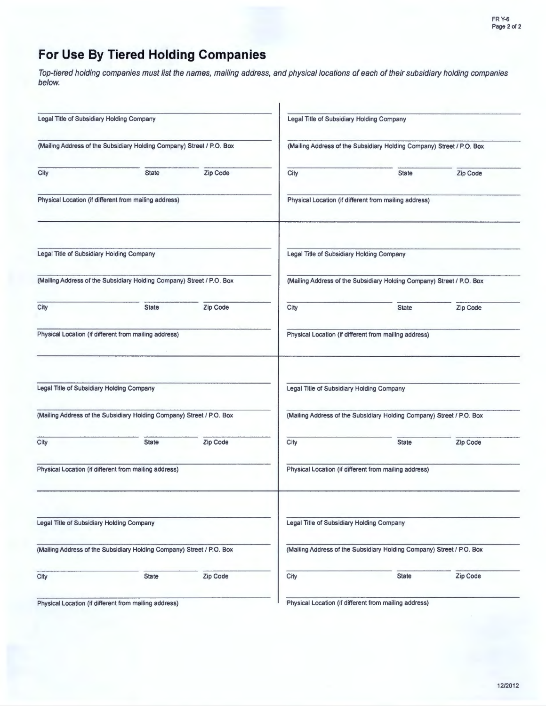# **For Use By Tiered Holding Companies**

Top-tiered holding companies must list the names, mailing address, and physical locations of each of their subsidiary holding companies below.

| Legal Title of Subsidiary Holding Company |                                                                       |          | Legal Title of Subsidiary Holding Company             |                                                                                                                                                                                                                                                                                          |          |  |  |  |
|-------------------------------------------|-----------------------------------------------------------------------|----------|-------------------------------------------------------|------------------------------------------------------------------------------------------------------------------------------------------------------------------------------------------------------------------------------------------------------------------------------------------|----------|--|--|--|
|                                           | (Mailing Address of the Subsidiary Holding Company) Street / P.O. Box |          |                                                       | (Mailing Address of the Subsidiary Holding Company) Street / P.O. Box<br>Zip Code<br>City<br><b>State</b><br>Physical Location (if different from mailing address)<br>Legal Title of Subsidiary Holding Company<br>(Mailing Address of the Subsidiary Holding Company) Street / P.O. Box |          |  |  |  |
| City                                      | <b>State</b>                                                          | Zip Code |                                                       |                                                                                                                                                                                                                                                                                          |          |  |  |  |
|                                           | Physical Location (if different from mailing address)                 |          |                                                       |                                                                                                                                                                                                                                                                                          |          |  |  |  |
| Legal Title of Subsidiary Holding Company |                                                                       |          |                                                       |                                                                                                                                                                                                                                                                                          |          |  |  |  |
|                                           | (Mailing Address of the Subsidiary Holding Company) Street / P.O. Box |          |                                                       |                                                                                                                                                                                                                                                                                          |          |  |  |  |
| City                                      | <b>State</b>                                                          | Zip Code | City                                                  | <b>State</b>                                                                                                                                                                                                                                                                             | Zip Code |  |  |  |
|                                           | Physical Location (if different from mailing address)                 |          |                                                       | Physical Location (if different from mailing address)                                                                                                                                                                                                                                    |          |  |  |  |
| Legal Title of Subsidiary Holding Company |                                                                       |          |                                                       | Legal Title of Subsidiary Holding Company                                                                                                                                                                                                                                                |          |  |  |  |
|                                           | (Mailing Address of the Subsidiary Holding Company) Street / P.O. Box |          |                                                       | (Mailing Address of the Subsidiary Holding Company) Street / P.O. Box                                                                                                                                                                                                                    |          |  |  |  |
| City                                      | <b>State</b>                                                          | Zip Code | City                                                  | <b>State</b>                                                                                                                                                                                                                                                                             | Zip Code |  |  |  |
|                                           | Physical Location (if different from mailing address)                 |          | Physical Location (if different from mailing address) |                                                                                                                                                                                                                                                                                          |          |  |  |  |
| Legal Title of Subsidiary Holding Company |                                                                       |          |                                                       | Legal Title of Subsidiary Holding Company                                                                                                                                                                                                                                                |          |  |  |  |
|                                           | (Mailing Address of the Subsidiary Holding Company) Street / P.O. Box |          |                                                       | (Mailing Address of the Subsidiary Holding Company) Street / P.O. Box                                                                                                                                                                                                                    |          |  |  |  |
| City                                      | <b>State</b>                                                          | Zip Code | City                                                  | <b>State</b>                                                                                                                                                                                                                                                                             | Zip Code |  |  |  |
|                                           | Physical Location (if different from mailing address)                 |          |                                                       | Physical Location (if different from mailing address)                                                                                                                                                                                                                                    |          |  |  |  |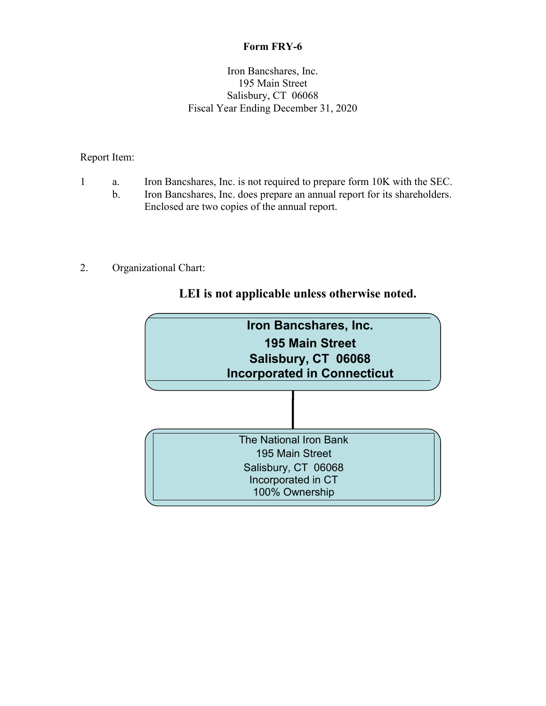# **Form FRY-6**

## Iron Bancshares, Inc. 195 Main Street Salisbury, CT 06068 Fiscal Year Ending December 31, 2020

# Report Item:

- 1 a. Iron Bancshares, Inc. is not required to prepare form 10K with the SEC.
	- b. Iron Bancshares, Inc. does prepare an annual report for its shareholders. Enclosed are two copies of the annual report.
- 2. Organizational Chart:

# **LEI is not applicable unless otherwise noted.**

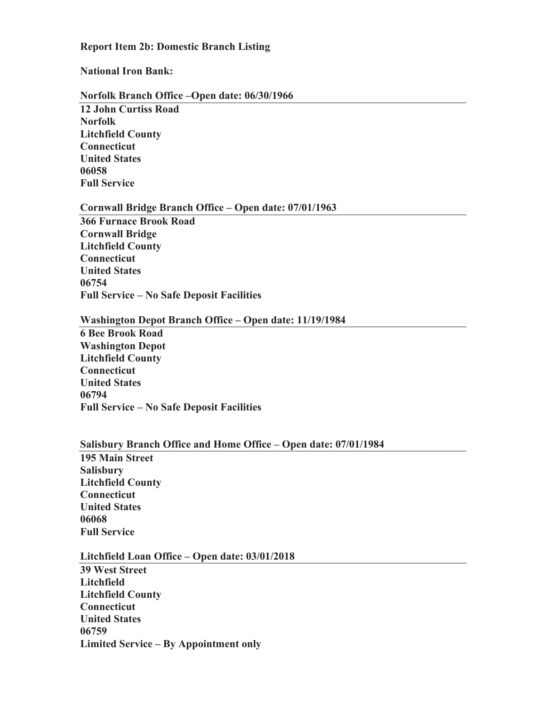## **Report Item 2b: Domestic Branch Listing**

#### **National Iron Bank:**

#### **Norfolk Branch Office –Open date: 06/30/1966**

**12 John Curtiss Road Norfolk Litchfield County Connecticut United States 06058 Full Service**

#### **Cornwall Bridge Branch Office – Open date: 07/01/1963**

**366 Furnace Brook Road Cornwall Bridge Litchfield County Connecticut United States 06754 Full Service – No Safe Deposit Facilities**

## **Washington Depot Branch Office – Open date: 11/19/1984**

**6 Bee Brook Road Washington Depot Litchfield County Connecticut United States 06794 Full Service – No Safe Deposit Facilities**

#### **Salisbury Branch Office and Home Office – Open date: 07/01/1984**

**195 Main Street Salisbury Litchfield County Connecticut United States 06068 Full Service**

## **Litchfield Loan Office – Open date: 03/01/2018**

**39 West Street Litchfield Litchfield County Connecticut United States 06759 Limited Service – By Appointment only**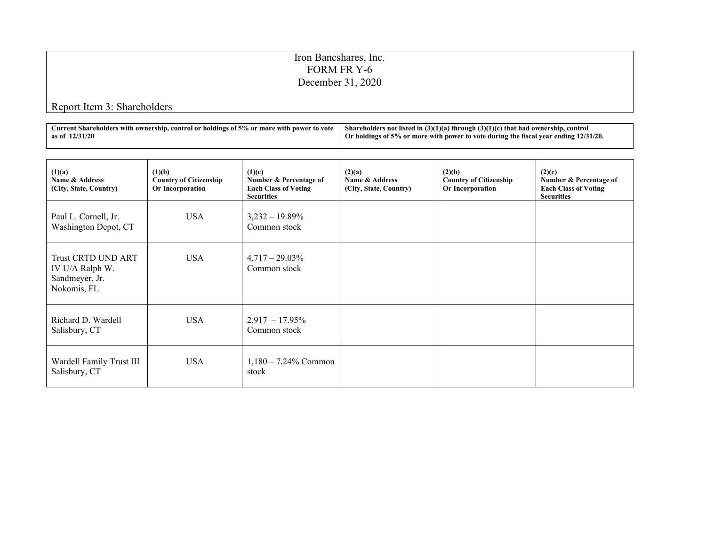# Iron Bancshares, Inc. FORM FR Y-6 December 31, 2020

# Report Item 3: Shareholders

| . .<br>ı power to vote<br>s with ownership, control or holdings of 5% or more with {<br>aurrent : | $\sim$<br>s not listed in (3)(1)(a) through (3)(1)(c) that had owners<br>Shar<br>control<br>. eholders<br>rshîn. |
|---------------------------------------------------------------------------------------------------|------------------------------------------------------------------------------------------------------------------|
| חלי<br>as of                                                                                      | 12/31/20.<br>of 5% or more with power to vote during the fiscal vear $\epsilon$<br>Oı<br>ending<br>oldings of :  |

| (1)(a)<br>Name & Address<br>(City, State, Country)                            | (1)(b)<br><b>Country of Citizenship</b><br>Or Incorporation | (1)(c)<br>Number & Percentage of<br><b>Each Class of Voting</b><br><b>Securities</b> | (2)(a)<br>Name & Address<br>(City, State, Country) | (2)(b)<br><b>Country of Citizenship</b><br>Or Incorporation | (2)(c)<br>Number & Percentage of<br><b>Each Class of Voting</b><br><b>Securities</b> |
|-------------------------------------------------------------------------------|-------------------------------------------------------------|--------------------------------------------------------------------------------------|----------------------------------------------------|-------------------------------------------------------------|--------------------------------------------------------------------------------------|
| Paul L. Cornell, Jr.<br>Washington Depot, CT                                  | <b>USA</b>                                                  | $3,232 - 19.89\%$<br>Common stock                                                    |                                                    |                                                             |                                                                                      |
| <b>Trust CRTD UND ART</b><br>IV U/A Ralph W.<br>Sandmeyer, Jr.<br>Nokomis, FL | <b>USA</b>                                                  | $4,717-29.03\%$<br>Common stock                                                      |                                                    |                                                             |                                                                                      |
| Richard D. Wardell<br>Salisbury, CT                                           | <b>USA</b>                                                  | $2,917 - 17.95\%$<br>Common stock                                                    |                                                    |                                                             |                                                                                      |
| Wardell Family Trust III<br>Salisbury, CT                                     | <b>USA</b>                                                  | $1,180 - 7.24\%$ Common<br>stock                                                     |                                                    |                                                             |                                                                                      |